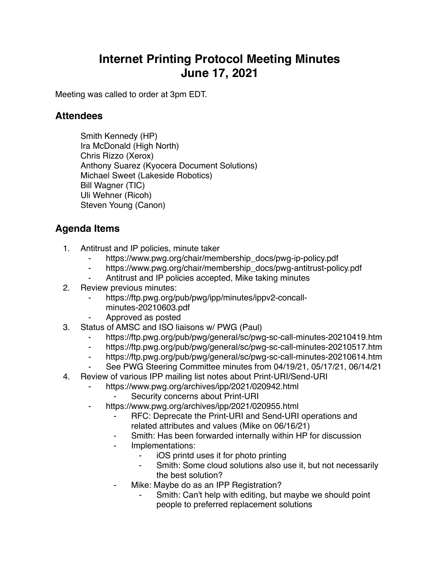## **Internet Printing Protocol Meeting Minutes June 17, 2021**

Meeting was called to order at 3pm EDT.

## **Attendees**

Smith Kennedy (HP) Ira McDonald (High North) Chris Rizzo (Xerox) Anthony Suarez (Kyocera Document Solutions) Michael Sweet (Lakeside Robotics) Bill Wagner (TIC) Uli Wehner (Ricoh) Steven Young (Canon)

## **Agenda Items**

- 1. Antitrust and IP policies, minute taker
	- https://www.pwg.org/chair/membership\_docs/pwg-ip-policy.pdf
	- ⁃ https://www.pwg.org/chair/membership\_docs/pwg-antitrust-policy.pdf
	- ⁃ Antitrust and IP policies accepted, Mike taking minutes
- 2. Review previous minutes:
	- https://ftp.pwg.org/pub/pwg/ipp/minutes/ippv2-concall
		- minutes-20210603.pdf
	- ⁃ Approved as posted
- 3. Status of AMSC and ISO liaisons w/ PWG (Paul)
	- https://ftp.pwg.org/pub/pwg/general/sc/pwg-sc-call-minutes-20210419.htm
	- ⁃ https://ftp.pwg.org/pub/pwg/general/sc/pwg-sc-call-minutes-20210517.htm
	- https://ftp.pwg.org/pub/pwg/general/sc/pwg-sc-call-minutes-20210614.htm
	- See PWG Steering Committee minutes from 04/19/21, 05/17/21, 06/14/21
- 4. Review of various IPP mailing list notes about Print-URI/Send-URI
	- https://www.pwg.org/archives/ipp/2021/020942.html
		- Security concerns about Print-URI
	- ⁃ https://www.pwg.org/archives/ipp/2021/020955.html
		- RFC: Deprecate the Print-URI and Send-URI operations and related attributes and values (Mike on 06/16/21)
		- Smith: Has been forwarded internally within HP for discussion
		- ⁃ Implementations:
			- iOS printd uses it for photo printing
			- Smith: Some cloud solutions also use it, but not necessarily the best solution?
			- Mike: Maybe do as an IPP Registration?
				- Smith: Can't help with editing, but maybe we should point people to preferred replacement solutions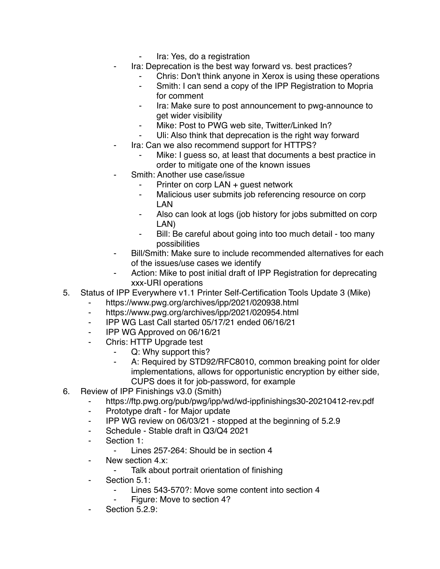- Ira: Yes, do a registration
- Ira: Deprecation is the best way forward vs. best practices?
	- Chris: Don't think anyone in Xerox is using these operations
	- ⁃ Smith: I can send a copy of the IPP Registration to Mopria for comment
	- Ira: Make sure to post announcement to pwg-announce to get wider visibility
	- Mike: Post to PWG web site, Twitter/Linked In?
	- Uli: Also think that deprecation is the right way forward
- Ira: Can we also recommend support for HTTPS?
	- Mike: I guess so, at least that documents a best practice in order to mitigate one of the known issues
- Smith: Another use case/issue
	- Printer on corp LAN + guest network
	- ⁃ Malicious user submits job referencing resource on corp LAN
	- ⁃ Also can look at logs (job history for jobs submitted on corp LAN)
	- Bill: Be careful about going into too much detail too many possibilities
- Bill/Smith: Make sure to include recommended alternatives for each of the issues/use cases we identify
- Action: Mike to post initial draft of IPP Registration for deprecating xxx-URI operations
- 5. Status of IPP Everywhere v1.1 Printer Self-Certification Tools Update 3 (Mike)
	- https://www.pwg.org/archives/ipp/2021/020938.html
	- ⁃ https://www.pwg.org/archives/ipp/2021/020954.html
	- ⁃ IPP WG Last Call started 05/17/21 ended 06/16/21
	- ⁃ IPP WG Approved on 06/16/21
	- Chris: HTTP Upgrade test
		- Q: Why support this?
		- ⁃ A: Required by STD92/RFC8010, common breaking point for older implementations, allows for opportunistic encryption by either side, CUPS does it for job-password, for example
- 6. Review of IPP Finishings v3.0 (Smith)
	- https://ftp.pwg.org/pub/pwg/ipp/wd/wd-ippfinishings30-20210412-rev.pdf
		- ⁃ Prototype draft for Major update
		- ⁃ IPP WG review on 06/03/21 stopped at the beginning of 5.2.9
		- ⁃ Schedule Stable draft in Q3/Q4 2021
		- Section 1:
			- Lines 257-264: Should be in section 4
		- ⁃ New section 4.x:
			- ⁃ Talk about portrait orientation of finishing
		- Section 5.1:
			- Lines 543-570?: Move some content into section 4
			- Figure: Move to section 4?
		- Section 5.2.9: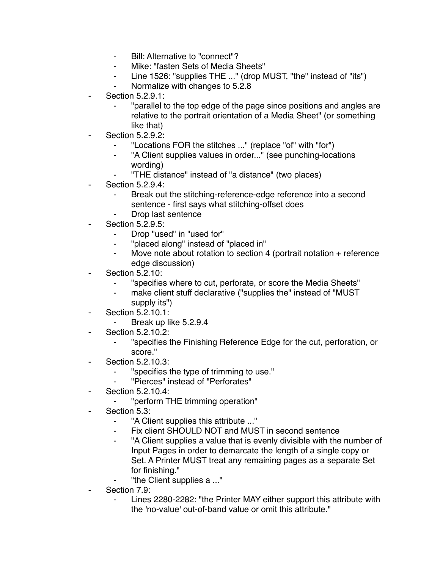- ⁃ Bill: Alternative to "connect"?
- ⁃ Mike: "fasten Sets of Media Sheets"
- Line 1526: "supplies THE ..." (drop MUST, "the" instead of "its")
- ⁃ Normalize with changes to 5.2.8
- Section 5.2.9.1:
	- ⁃ "parallel to the top edge of the page since positions and angles are relative to the portrait orientation of a Media Sheet" (or something like that)
- **Section 5.2.9.2:** 
	- "Locations FOR the stitches ..." (replace "of" with "for")
	- "A Client supplies values in order..." (see punching-locations wording)
	- ⁃ "THE distance" instead of "a distance" (two places)
- Section 5.2.9.4:
	- Break out the stitching-reference-edge reference into a second sentence - first says what stitching-offset does
	- Drop last sentence
- **Section 5.2.9.5:** 
	- Drop "used" in "used for"
	- ⁃ "placed along" instead of "placed in"
	- ⁃ Move note about rotation to section 4 (portrait notation + reference edge discussion)
- **Section 5.2.10:** 
	- ⁃ "specifies where to cut, perforate, or score the Media Sheets"
	- make client stuff declarative ("supplies the" instead of "MUST supply its")
- Section 5.2.10.1:
	- ⁃ Break up like 5.2.9.4
- Section 5.2.10.2:
	- ⁃ "specifies the Finishing Reference Edge for the cut, perforation, or score."
- Section 5.2.10.3:
	- ⁃ "specifies the type of trimming to use."
	- ⁃ "Pierces" instead of "Perforates"
- ⁃ Section 5.2.10.4:
	- ⁃ "perform THE trimming operation"
- Section 5.3:
	- ⁃ "A Client supplies this attribute ..."
	- Fix client SHOULD NOT and MUST in second sentence
	- ⁃ "A Client supplies a value that is evenly divisible with the number of Input Pages in order to demarcate the length of a single copy or Set. A Printer MUST treat any remaining pages as a separate Set for finishing."
	- "the Client supplies a ..."
- Section 7.9:
	- Lines 2280-2282: "the Printer MAY either support this attribute with the 'no-value' out-of-band value or omit this attribute."